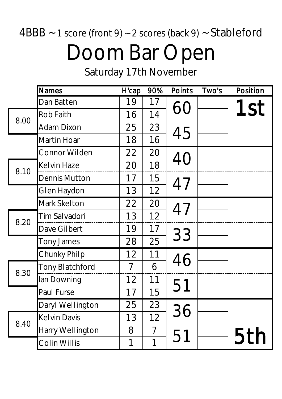## 4BBB ~ 1 score (front 9) ~ 2 scores (back 9) ~ Stableford Doom Bar Open

Saturday 17th November

|      | <b>Names</b>         | H'cap | 90% | Points        | Two's | Position |
|------|----------------------|-------|-----|---------------|-------|----------|
|      | Dan Batten           | 19    | 17  |               |       | 1st      |
| 8.00 | Rob Faith            | 16    | 14  |               |       |          |
|      | <b>Adam Dixon</b>    | 25    | 23  | 45            |       |          |
|      | Martin Hoar          | 18    | 16  |               |       |          |
|      | <b>Connor Wilden</b> | 22    | 20  |               |       |          |
| 8.10 | Kelvin Haze          | 20    | 18  |               |       |          |
|      | <b>Dennis Mutton</b> | 17    | 15  |               |       |          |
|      | Glen Haydon          | 13    | 12  |               |       |          |
|      | Mark Skelton         | 22    | 20  | 47            |       |          |
| 8.20 | Tim Salvadori        | 13    | 12  |               |       |          |
|      | Dave Gilbert         | 19    | 17  | 33            |       |          |
|      | Tony James           | 28    | 25  |               |       |          |
|      | Chunky Philp         | 12    | 11  | 46            |       |          |
|      | Tony Blatchford      |       | 6   |               |       |          |
| 8.30 | lan Downing          | 12    | 11  | $5^{\degree}$ |       |          |
|      | Paul Furse           | 17    | 15  |               |       |          |
|      | Daryl Wellington     | 25    | 23  | 36            |       |          |
|      | Kelvin Davis         | 13    | 12  |               |       |          |
| 8.40 | Harry Wellington     | 8     | 7   | 51            |       |          |
|      | Colin Willis         |       | 1   |               |       | 5th      |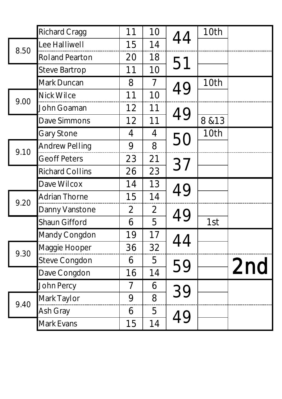|      | Richard Cragg          | 11             | 10             | 44        | 10th   |     |
|------|------------------------|----------------|----------------|-----------|--------|-----|
| 8.50 | Lee Halliwell          | 15             | 14             |           |        |     |
|      | <b>Roland Pearton</b>  | 20             | 18             | 51        |        |     |
|      | <b>Steve Bartrop</b>   | 11             | 10             |           |        |     |
|      | Mark Duncan            | 8              | $\overline{7}$ | 49        | 10th   |     |
| 9.00 | Nick Wilce             | 11             | 10             |           |        |     |
|      | John Goaman            | 12             | 11             | 49        |        |     |
|      | Dave Simmons           | 12             | 11             |           | 8 & 13 |     |
|      | <b>Gary Stone</b>      | 4              | 4              | <b>50</b> | 10th   |     |
| 9.10 | <b>Andrew Pelling</b>  | 9              | 8              |           |        |     |
|      | <b>Geoff Peters</b>    | 23             | 21             | 37        |        |     |
|      | <b>Richard Collins</b> | 26             | 23             |           |        |     |
|      | Dave Wilcox            | 14             | 13             | 49        |        |     |
| 9.20 | <b>Adrian Thorne</b>   | 15             | 14             |           |        |     |
|      | Danny Vanstone         | $\overline{2}$ | $\overline{2}$ | 49        |        |     |
|      | Shaun Gifford          | 6              | 5              |           | 1st    |     |
|      | Mandy Congdon          | 19             | 17             | 44        |        |     |
| 9.30 | Maggie Hooper          | 36             | 32             |           |        |     |
|      | Steve Congdon          | 6              | 5              |           |        |     |
|      | Dave Congdon           | 16             | 14             | 59        |        | 2nd |
|      | John Percy             | 7              | 6              | 39        |        |     |
| 9.40 | Mark Taylor            | 9              | 8              |           |        |     |
|      | Ash Gray               | 6              | 5              | 1 Q       |        |     |
|      | Mark Evans             | 15             | 14             |           |        |     |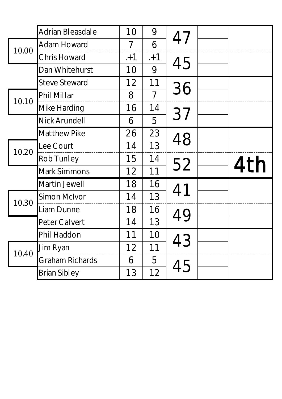|       | Adrian Bleasdale     | 10      | 9              | 47 |     |
|-------|----------------------|---------|----------------|----|-----|
| 10.00 | Adam Howard          | 7       | 6              |    |     |
|       | <b>Chris Howard</b>  | $. + 1$ | $. + 1$        | 45 |     |
|       | Dan Whitehurst       | 10      | 9              |    |     |
|       | <b>Steve Steward</b> | 12      | 11             | 36 |     |
| 10.10 | Phil Millar          | 8       | $\overline{7}$ |    |     |
|       | Mike Harding         | 16      | 14             | 37 |     |
|       | Nick Arundell        | 6       | 5              |    |     |
|       | Matthew Pike         | 26      | 23             | 48 |     |
| 10.20 | Lee Court            | 14      | 13             |    |     |
|       | Rob Tunley           | 15      | 14             | 52 | 4th |
|       | Mark Simmons         | 12      | 11             |    |     |
|       | Martin Jewell        | 18      | 16             |    |     |
| 10.30 | Simon McIvor         | 14      | 13             |    |     |
|       | Liam Dunne           | 18      | 16             | 49 |     |
|       | Peter Calvert        | 14      | 13             |    |     |
|       | Phil Haddon          | 11      | 10             | 43 |     |
| 10.40 | Jim Ryan             | 12      | 11             |    |     |
|       | Graham Richards      | 6       | 5              | 45 |     |
|       | <b>Brian Sibley</b>  | 13      | 12             |    |     |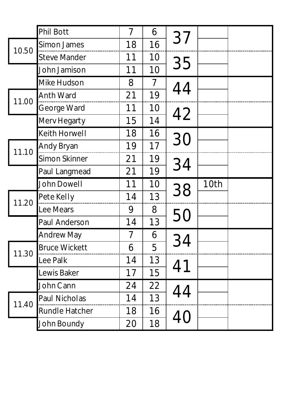|       | Phil Bott            | 7              | 6              | 37 |      |  |
|-------|----------------------|----------------|----------------|----|------|--|
| 10.50 | Simon James          | 18             | 16             |    |      |  |
|       | <b>Steve Mander</b>  | 11             | 10             | 35 |      |  |
|       | John Jamison         | 11             | 10             |    |      |  |
|       | Mike Hudson          | 8              | $\overline{7}$ | 44 |      |  |
| 11.00 | Anth Ward            | 21             | 19             |    |      |  |
|       | George Ward          | 11             | 10             | 42 |      |  |
|       | Merv Hegarty         | 15             | 14             |    |      |  |
|       | Keith Horwell        | 18             | 16             | 30 |      |  |
| 11.10 | Andy Bryan           | 19             | 17             |    |      |  |
|       | Simon Skinner        | 21             | 19             | 34 |      |  |
|       | Paul Langmead        | 21             | 19             |    |      |  |
|       |                      |                |                |    |      |  |
|       | John Dowell          | 11             | 10             |    | 10th |  |
|       | Pete Kelly           | 14             | 13             | 38 |      |  |
| 11.20 | Lee Mears            | 9              | 8              |    |      |  |
|       | Paul Anderson        | 14             | 13             | 50 |      |  |
|       | <b>Andrew May</b>    | $\overline{1}$ | 6              |    |      |  |
|       | <b>Bruce Wickett</b> | 6              | 5              | 34 |      |  |
| 11.30 | Lee Palk             | 14             | 13             |    |      |  |
|       | Lewis Baker          | 17             | 15             | 41 |      |  |
|       | John Cann            | 24             | 22             |    |      |  |
|       | Paul Nicholas        | 14             | 13             | 44 |      |  |
| 11.40 | Rundle Hatcher       | 18             | 16             | 40 |      |  |